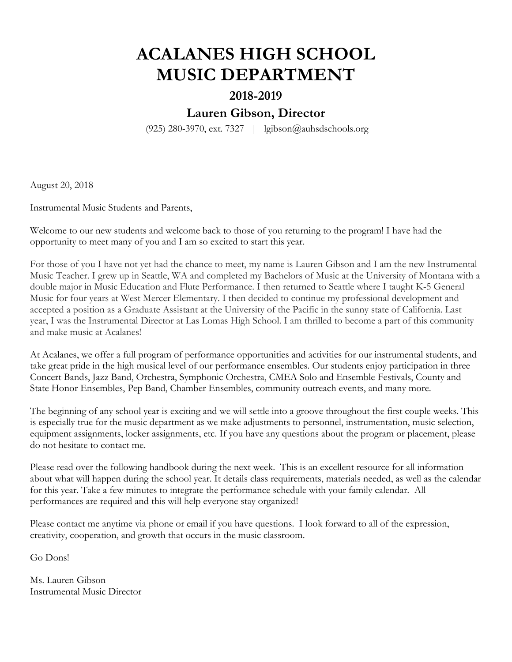# **ACALANES HIGH SCHOOL MUSIC DEPARTMENT**

## **2018-2019**

# **Lauren Gibson, Director**

(925) 280-3970, ext. 7327 | lgibson@auhsdschools.org

August 20, 2018

Instrumental Music Students and Parents,

Welcome to our new students and welcome back to those of you returning to the program! I have had the opportunity to meet many of you and I am so excited to start this year.

For those of you I have not yet had the chance to meet, my name is Lauren Gibson and I am the new Instrumental Music Teacher. I grew up in Seattle, WA and completed my Bachelors of Music at the University of Montana with a double major in Music Education and Flute Performance. I then returned to Seattle where I taught K-5 General Music for four years at West Mercer Elementary. I then decided to continue my professional development and accepted a position as a Graduate Assistant at the University of the Pacific in the sunny state of California. Last year, I was the Instrumental Director at Las Lomas High School. I am thrilled to become a part of this community and make music at Acalanes!

At Acalanes, we offer a full program of performance opportunities and activities for our instrumental students, and take great pride in the high musical level of our performance ensembles. Our students enjoy participation in three Concert Bands, Jazz Band, Orchestra, Symphonic Orchestra, CMEA Solo and Ensemble Festivals, County and State Honor Ensembles, Pep Band, Chamber Ensembles, community outreach events, and many more.

The beginning of any school year is exciting and we will settle into a groove throughout the first couple weeks. This is especially true for the music department as we make adjustments to personnel, instrumentation, music selection, equipment assignments, locker assignments, etc. If you have any questions about the program or placement, please do not hesitate to contact me.

Please read over the following handbook during the next week. This is an excellent resource for all information about what will happen during the school year. It details class requirements, materials needed, as well as the calendar for this year. Take a few minutes to integrate the performance schedule with your family calendar. All performances are required and this will help everyone stay organized!

Please contact me anytime via phone or email if you have questions. I look forward to all of the expression, creativity, cooperation, and growth that occurs in the music classroom.

Go Dons!

Ms. Lauren Gibson Instrumental Music Director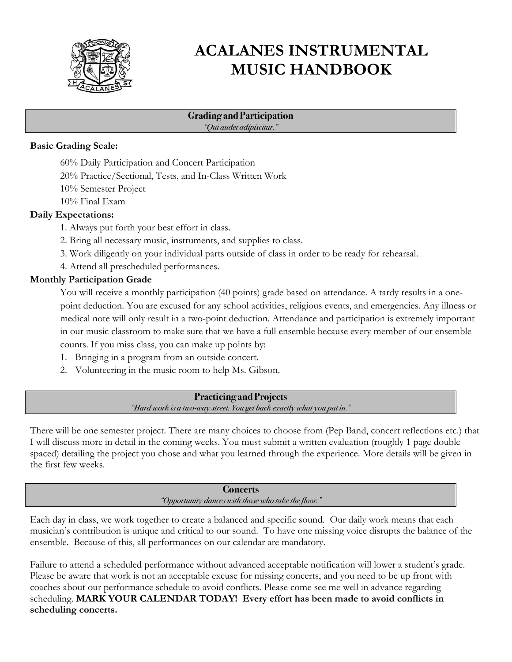

# **ACALANES INSTRUMENTAL MUSIC HANDBOOK**

#### **Grading and Participation** *"Qui audet adipiscitur."*

#### **Basic Grading Scale:**

- 60% Daily Participation and Concert Participation
- 20% Practice/Sectional, Tests, and In-Class Written Work
- 10% Semester Project
- 10% Final Exam

### **Daily Expectations:**

- 1. Always put forth your best effort in class.
- 2. Bring all necessary music, instruments, and supplies to class.
- 3. Work diligently on your individual parts outside of class in order to be ready for rehearsal.
- 4. Attend all prescheduled performances.

## **Monthly Participation Grade**

You will receive a monthly participation (40 points) grade based on attendance. A tardy results in a onepoint deduction. You are excused for any school activities, religious events, and emergencies. Any illness or medical note will only result in a two-point deduction. Attendance and participation is extremely important in our music classroom to make sure that we have a full ensemble because every member of our ensemble counts. If you miss class, you can make up points by:

- 1. Bringing in a program from an outside concert.
- 2. Volunteering in the music room to help Ms. Gibson.

#### **Practicing and Projects** *"Hard work is a two-way street. You get back exactly what you put in."*

There will be one semester project. There are many choices to choose from (Pep Band, concert reflections etc.) that I will discuss more in detail in the coming weeks. You must submit a written evaluation (roughly 1 page double spaced) detailing the project you chose and what you learned through the experience. More details will be given in the first few weeks.

> **Concerts** *"Opportunity dances with those who take the floor."*

Each day in class, we work together to create a balanced and specific sound. Our daily work means that each musician's contribution is unique and critical to our sound. To have one missing voice disrupts the balance of the ensemble. Because of this, all performances on our calendar are mandatory.

Failure to attend a scheduled performance without advanced acceptable notification will lower a student's grade. Please be aware that work is not an acceptable excuse for missing concerts, and you need to be up front with coaches about our performance schedule to avoid conflicts. Please come see me well in advance regarding scheduling. **MARK YOUR CALENDAR TODAY! Every effort has been made to avoid conflicts in scheduling concerts.**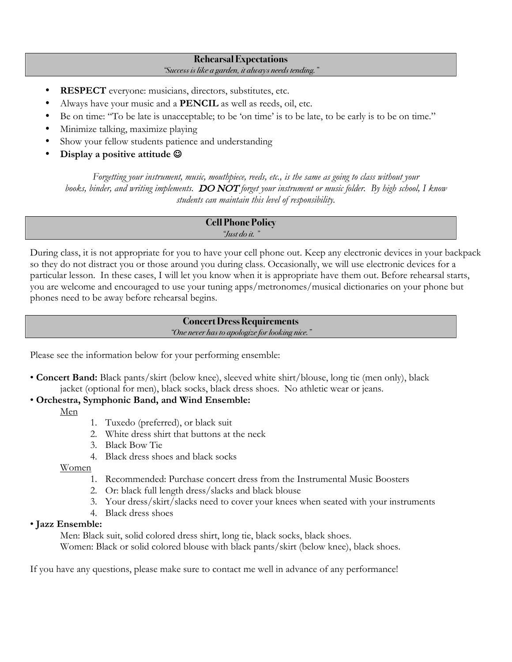## **Rehearsal Expectations**

#### *"Success is like a garden, it always needs tending."*

- **RESPECT** everyone: musicians, directors, substitutes, etc.
- Always have your music and a **PENCIL** as well as reeds, oil, etc.
- Be on time: "To be late is unacceptable; to be 'on time' is to be late, to be early is to be on time."
- Minimize talking, maximize playing
- Show your fellow students patience and understanding
- Display a positive attitude  $\odot$

*Forgetting your instrument, music, mouthpiece, reeds, etc., is the same as going to class without your books, binder, and writing implements.* DO NOT *forget your instrument or music folder. By high school, I know students can maintain this level of responsibility.*

#### **Cell Phone Policy** *"Just do it. "*

During class, it is not appropriate for you to have your cell phone out. Keep any electronic devices in your backpack so they do not distract you or those around you during class. Occasionally, we will use electronic devices for a particular lesson. In these cases, I will let you know when it is appropriate have them out. Before rehearsal starts, you are welcome and encouraged to use your tuning apps/metronomes/musical dictionaries on your phone but phones need to be away before rehearsal begins.

#### **Concert Dress Requirements** *"One never has to apologize for looking nice."*

Please see the information below for your performing ensemble:

• **Concert Band:** Black pants/skirt (below knee), sleeved white shirt/blouse, long tie (men only), black jacket (optional for men), black socks, black dress shoes. No athletic wear or jeans.

## • **Orchestra, Symphonic Band, and Wind Ensemble:**

- Men
- 1. Tuxedo (preferred), or black suit
- 2. White dress shirt that buttons at the neck
- 3. Black Bow Tie
- 4. Black dress shoes and black socks

### Women

- 1. Recommended: Purchase concert dress from the Instrumental Music Boosters
- 2. Or: black full length dress/slacks and black blouse
- 3. Your dress/skirt/slacks need to cover your knees when seated with your instruments
- 4. Black dress shoes

## • **Jazz Ensemble:**

Men: Black suit, solid colored dress shirt, long tie, black socks, black shoes.

Women: Black or solid colored blouse with black pants/skirt (below knee), black shoes.

If you have any questions, please make sure to contact me well in advance of any performance!